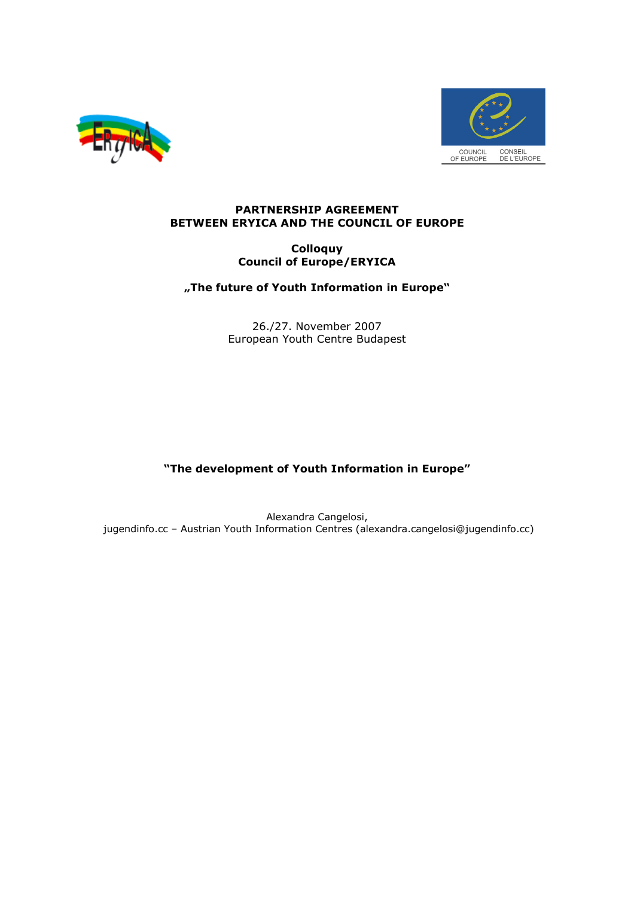



#### PARTNERSHIP AGREEMENT BETWEEN ERYICA AND THE COUNCIL OF EUROPE

#### **Colloquy** Council of Europe/ERYICA

### "The future of Youth Information in Europe"

26./27. November 2007 European Youth Centre Budapest

## "The development of Youth Information in Europe"

Alexandra Cangelosi, jugendinfo.cc – Austrian Youth Information Centres (alexandra.cangelosi@jugendinfo.cc)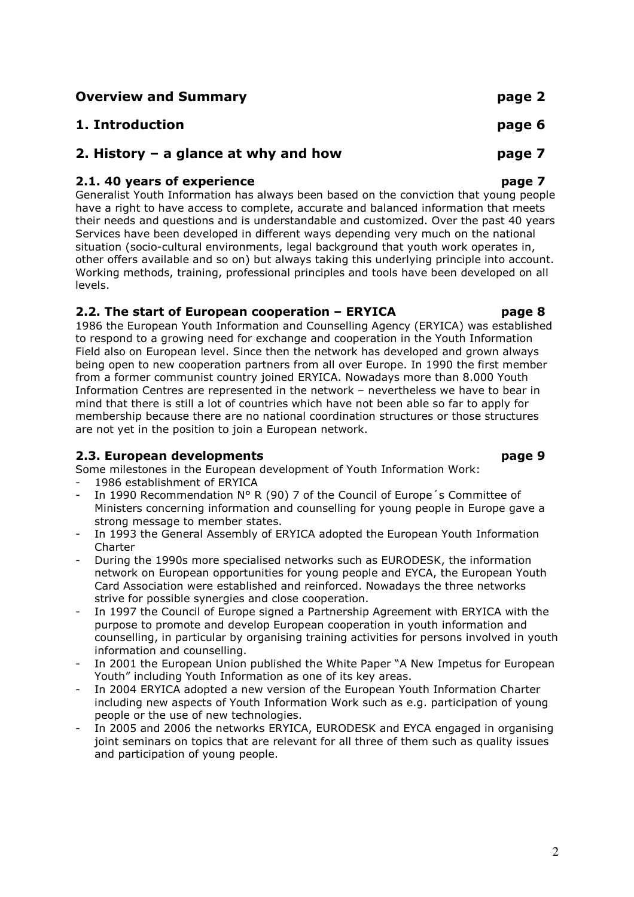Overview and Summary **page 2** 1. Introduction page 6 2. History – a glance at why and how page 7 2.1. 40 years of experience page 7

Generalist Youth Information has always been based on the conviction that young people have a right to have access to complete, accurate and balanced information that meets their needs and questions and is understandable and customized. Over the past 40 years Services have been developed in different ways depending very much on the national situation (socio-cultural environments, legal background that youth work operates in, other offers available and so on) but always taking this underlying principle into account. Working methods, training, professional principles and tools have been developed on all levels.

# 2.2. The start of European cooperation – ERYICA https://www.page 8

1986 the European Youth Information and Counselling Agency (ERYICA) was established to respond to a growing need for exchange and cooperation in the Youth Information Field also on European level. Since then the network has developed and grown always being open to new cooperation partners from all over Europe. In 1990 the first member from a former communist country joined ERYICA. Nowadays more than 8.000 Youth Information Centres are represented in the network – nevertheless we have to bear in mind that there is still a lot of countries which have not been able so far to apply for membership because there are no national coordination structures or those structures are not yet in the position to join a European network.

# 2.3. European developments page 9

Some milestones in the European development of Youth Information Work:

- 1986 establishment of ERYICA
- In 1990 Recommendation N° R (90) 7 of the Council of Europe's Committee of Ministers concerning information and counselling for young people in Europe gave a strong message to member states.
- In 1993 the General Assembly of ERYICA adopted the European Youth Information **Charter**
- During the 1990s more specialised networks such as EURODESK, the information network on European opportunities for young people and EYCA, the European Youth Card Association were established and reinforced. Nowadays the three networks strive for possible synergies and close cooperation.
- In 1997 the Council of Europe signed a Partnership Agreement with ERYICA with the purpose to promote and develop European cooperation in youth information and counselling, in particular by organising training activities for persons involved in youth information and counselling.
- In 2001 the European Union published the White Paper "A New Impetus for European Youth" including Youth Information as one of its key areas.
- In 2004 ERYICA adopted a new version of the European Youth Information Charter including new aspects of Youth Information Work such as e.g. participation of young people or the use of new technologies.
- In 2005 and 2006 the networks ERYICA, EURODESK and EYCA engaged in organising joint seminars on topics that are relevant for all three of them such as quality issues and participation of young people.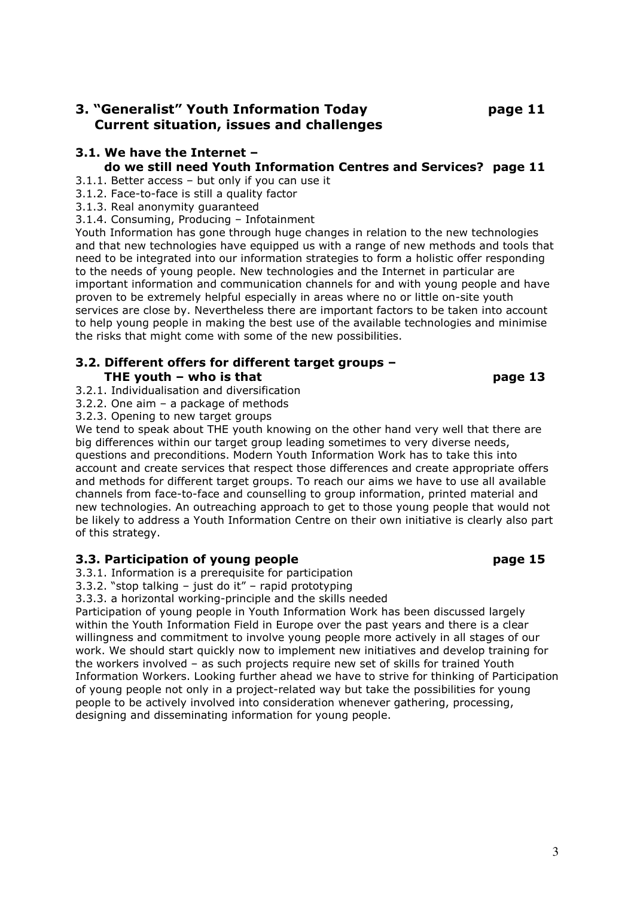# 3. "Generalist" Youth Information Today page 11 Current situation, issues and challenges

# 3.1. We have the Internet –

# do we still need Youth Information Centres and Services? page 11

- 3.1.1. Better access but only if you can use it
- 3.1.2. Face-to-face is still a quality factor
- 3.1.3. Real anonymity guaranteed
- 3.1.4. Consuming, Producing Infotainment

Youth Information has gone through huge changes in relation to the new technologies and that new technologies have equipped us with a range of new methods and tools that need to be integrated into our information strategies to form a holistic offer responding to the needs of young people. New technologies and the Internet in particular are important information and communication channels for and with young people and have proven to be extremely helpful especially in areas where no or little on-site youth services are close by. Nevertheless there are important factors to be taken into account to help young people in making the best use of the available technologies and minimise the risks that might come with some of the new possibilities.

# 3.2. Different offers for different target groups – THE youth – who is that page 13

- 3.2.1. Individualisation and diversification
- 3.2.2. One aim a package of methods
- 3.2.3. Opening to new target groups

We tend to speak about THE youth knowing on the other hand very well that there are big differences within our target group leading sometimes to very diverse needs, questions and preconditions. Modern Youth Information Work has to take this into account and create services that respect those differences and create appropriate offers and methods for different target groups. To reach our aims we have to use all available channels from face-to-face and counselling to group information, printed material and new technologies. An outreaching approach to get to those young people that would not be likely to address a Youth Information Centre on their own initiative is clearly also part of this strategy.

# 3.3. Participation of young people page page 15

3.3.1. Information is a prerequisite for participation

3.3.2. "stop talking – just do it" – rapid prototyping

3.3.3. a horizontal working-principle and the skills needed

Participation of young people in Youth Information Work has been discussed largely within the Youth Information Field in Europe over the past years and there is a clear willingness and commitment to involve young people more actively in all stages of our work. We should start quickly now to implement new initiatives and develop training for the workers involved – as such projects require new set of skills for trained Youth Information Workers. Looking further ahead we have to strive for thinking of Participation of young people not only in a project-related way but take the possibilities for young people to be actively involved into consideration whenever gathering, processing, designing and disseminating information for young people.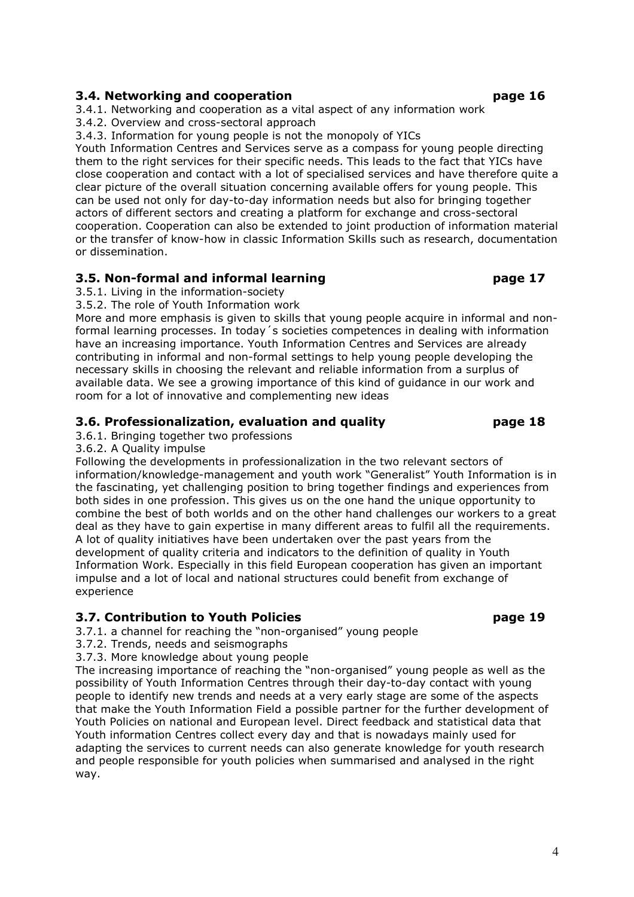## 3.4. Networking and cooperation page 16

3.4.1. Networking and cooperation as a vital aspect of any information work

3.4.2. Overview and cross-sectoral approach

3.4.3. Information for young people is not the monopoly of YICs

Youth Information Centres and Services serve as a compass for young people directing them to the right services for their specific needs. This leads to the fact that YICs have close cooperation and contact with a lot of specialised services and have therefore quite a clear picture of the overall situation concerning available offers for young people. This can be used not only for day-to-day information needs but also for bringing together actors of different sectors and creating a platform for exchange and cross-sectoral cooperation. Cooperation can also be extended to joint production of information material or the transfer of know-how in classic Information Skills such as research, documentation or dissemination.

# 3.5. Non-formal and informal learning page 17

3.5.1. Living in the information-society

3.5.2. The role of Youth Information work

More and more emphasis is given to skills that young people acquire in informal and nonformal learning processes. In today 's societies competences in dealing with information have an increasing importance. Youth Information Centres and Services are already contributing in informal and non-formal settings to help young people developing the necessary skills in choosing the relevant and reliable information from a surplus of available data. We see a growing importance of this kind of guidance in our work and room for a lot of innovative and complementing new ideas

# 3.6. Professionalization, evaluation and quality page 18

3.6.1. Bringing together two professions

3.6.2. A Quality impulse

Following the developments in professionalization in the two relevant sectors of information/knowledge-management and youth work "Generalist" Youth Information is in the fascinating, yet challenging position to bring together findings and experiences from both sides in one profession. This gives us on the one hand the unique opportunity to combine the best of both worlds and on the other hand challenges our workers to a great deal as they have to gain expertise in many different areas to fulfil all the requirements. A lot of quality initiatives have been undertaken over the past years from the development of quality criteria and indicators to the definition of quality in Youth Information Work. Especially in this field European cooperation has given an important impulse and a lot of local and national structures could benefit from exchange of experience

# 3.7. Contribution to Youth Policies **Page 19** and the page 19

3.7.1. a channel for reaching the "non-organised" young people

3.7.2. Trends, needs and seismographs

3.7.3. More knowledge about young people

The increasing importance of reaching the "non-organised" young people as well as the possibility of Youth Information Centres through their day-to-day contact with young people to identify new trends and needs at a very early stage are some of the aspects that make the Youth Information Field a possible partner for the further development of Youth Policies on national and European level. Direct feedback and statistical data that Youth information Centres collect every day and that is nowadays mainly used for adapting the services to current needs can also generate knowledge for youth research and people responsible for youth policies when summarised and analysed in the right way.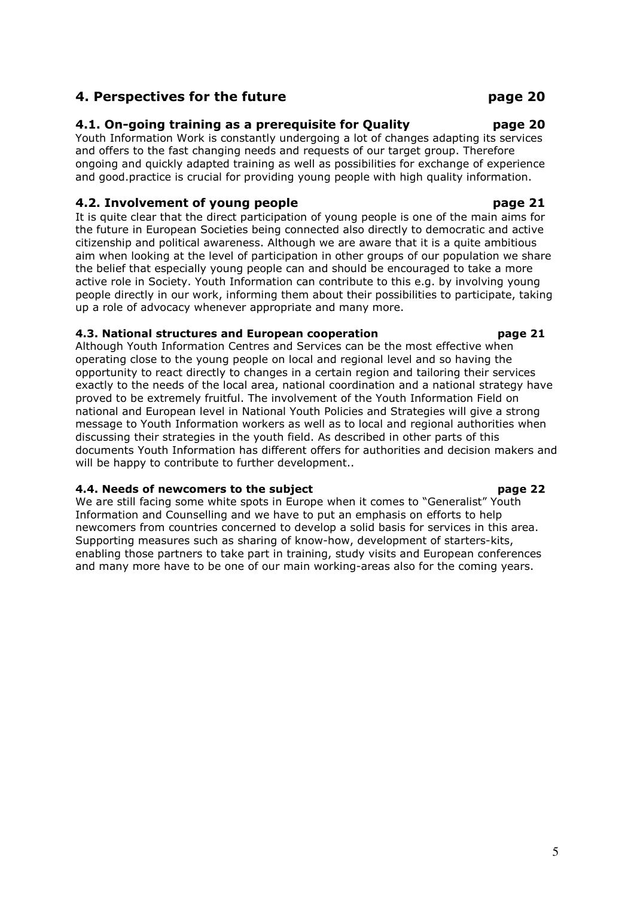# 4. Perspectives for the future example 20 page 20

# 4.1. On-going training as a prerequisite for Quality page 20

Youth Information Work is constantly undergoing a lot of changes adapting its services and offers to the fast changing needs and requests of our target group. Therefore ongoing and quickly adapted training as well as possibilities for exchange of experience and good.practice is crucial for providing young people with high quality information.

# 4.2. Involvement of young people **page 21** page 21

It is quite clear that the direct participation of young people is one of the main aims for the future in European Societies being connected also directly to democratic and active citizenship and political awareness. Although we are aware that it is a quite ambitious aim when looking at the level of participation in other groups of our population we share the belief that especially young people can and should be encouraged to take a more active role in Society. Youth Information can contribute to this e.g. by involving young people directly in our work, informing them about their possibilities to participate, taking up a role of advocacy whenever appropriate and many more.

# 4.3. National structures and European cooperation page 21

Although Youth Information Centres and Services can be the most effective when operating close to the young people on local and regional level and so having the opportunity to react directly to changes in a certain region and tailoring their services exactly to the needs of the local area, national coordination and a national strategy have proved to be extremely fruitful. The involvement of the Youth Information Field on national and European level in National Youth Policies and Strategies will give a strong message to Youth Information workers as well as to local and regional authorities when discussing their strategies in the youth field. As described in other parts of this documents Youth Information has different offers for authorities and decision makers and will be happy to contribute to further development..

# 4.4. Needs of newcomers to the subject page 22

We are still facing some white spots in Europe when it comes to "Generalist" Youth Information and Counselling and we have to put an emphasis on efforts to help newcomers from countries concerned to develop a solid basis for services in this area. Supporting measures such as sharing of know-how, development of starters-kits, enabling those partners to take part in training, study visits and European conferences and many more have to be one of our main working-areas also for the coming years.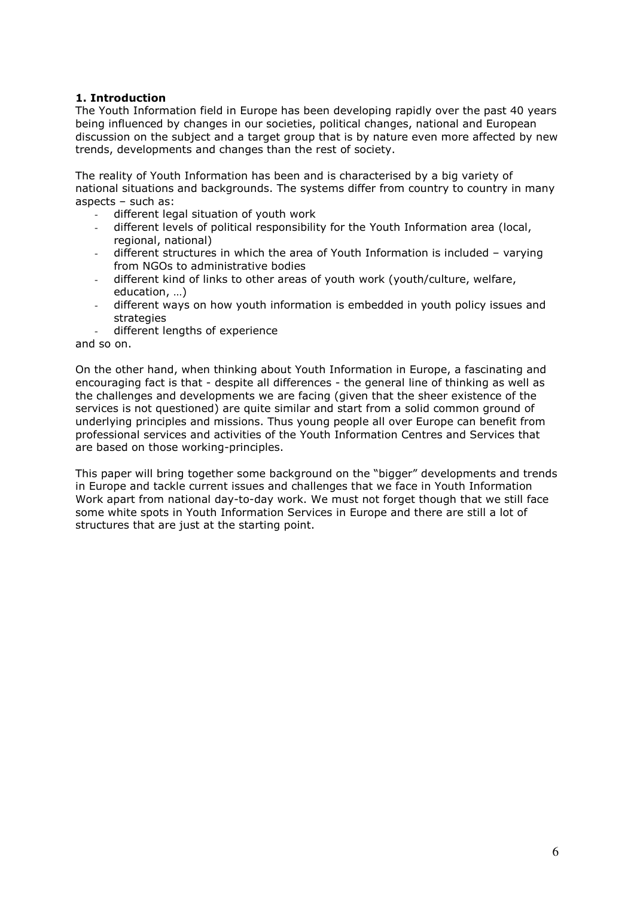#### 1. Introduction

The Youth Information field in Europe has been developing rapidly over the past 40 years being influenced by changes in our societies, political changes, national and European discussion on the subject and a target group that is by nature even more affected by new trends, developments and changes than the rest of society.

The reality of Youth Information has been and is characterised by a big variety of national situations and backgrounds. The systems differ from country to country in many aspects – such as:

- different legal situation of youth work
- different levels of political responsibility for the Youth Information area (local, regional, national)
- different structures in which the area of Youth Information is included varying from NGOs to administrative bodies
- different kind of links to other areas of youth work (youth/culture, welfare, education, …)
- different ways on how youth information is embedded in youth policy issues and strategies
- different lengths of experience

and so on.

On the other hand, when thinking about Youth Information in Europe, a fascinating and encouraging fact is that - despite all differences - the general line of thinking as well as the challenges and developments we are facing (given that the sheer existence of the services is not questioned) are quite similar and start from a solid common ground of underlying principles and missions. Thus young people all over Europe can benefit from professional services and activities of the Youth Information Centres and Services that are based on those working-principles.

This paper will bring together some background on the "bigger" developments and trends in Europe and tackle current issues and challenges that we face in Youth Information Work apart from national day-to-day work. We must not forget though that we still face some white spots in Youth Information Services in Europe and there are still a lot of structures that are just at the starting point.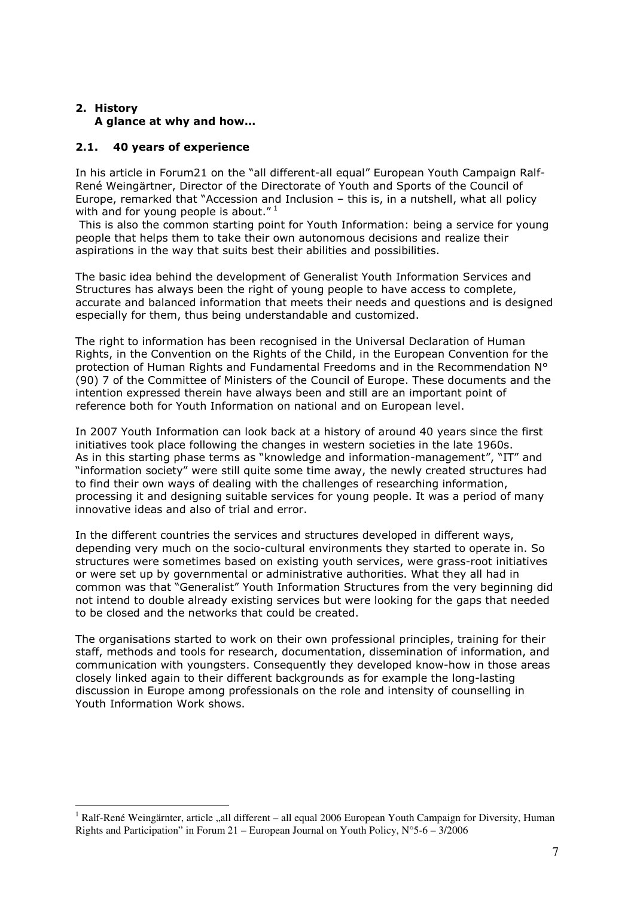### 2. History A glance at why and how…

## 2.1. 40 years of experience

 $\overline{a}$ 

In his article in Forum21 on the "all different-all equal" European Youth Campaign Ralf-René Weingärtner, Director of the Directorate of Youth and Sports of the Council of Europe, remarked that "Accession and Inclusion – this is, in a nutshell, what all policy with and for young people is about."<sup>1</sup>

 This is also the common starting point for Youth Information: being a service for young people that helps them to take their own autonomous decisions and realize their aspirations in the way that suits best their abilities and possibilities.

The basic idea behind the development of Generalist Youth Information Services and Structures has always been the right of young people to have access to complete, accurate and balanced information that meets their needs and questions and is designed especially for them, thus being understandable and customized.

The right to information has been recognised in the Universal Declaration of Human Rights, in the Convention on the Rights of the Child, in the European Convention for the protection of Human Rights and Fundamental Freedoms and in the Recommendation N° (90) 7 of the Committee of Ministers of the Council of Europe. These documents and the intention expressed therein have always been and still are an important point of reference both for Youth Information on national and on European level.

In 2007 Youth Information can look back at a history of around 40 years since the first initiatives took place following the changes in western societies in the late 1960s. As in this starting phase terms as "knowledge and information-management", "IT" and "information society" were still quite some time away, the newly created structures had to find their own ways of dealing with the challenges of researching information, processing it and designing suitable services for young people. It was a period of many innovative ideas and also of trial and error.

In the different countries the services and structures developed in different ways, depending very much on the socio-cultural environments they started to operate in. So structures were sometimes based on existing youth services, were grass-root initiatives or were set up by governmental or administrative authorities. What they all had in common was that "Generalist" Youth Information Structures from the very beginning did not intend to double already existing services but were looking for the gaps that needed to be closed and the networks that could be created.

The organisations started to work on their own professional principles, training for their staff, methods and tools for research, documentation, dissemination of information, and communication with youngsters. Consequently they developed know-how in those areas closely linked again to their different backgrounds as for example the long-lasting discussion in Europe among professionals on the role and intensity of counselling in Youth Information Work shows.

<sup>&</sup>lt;sup>1</sup> Ralf-René Weingärnter, article "all different – all equal 2006 European Youth Campaign for Diversity, Human Rights and Participation" in Forum 21 – European Journal on Youth Policy,  $N^{\circ}5$ -6 – 3/2006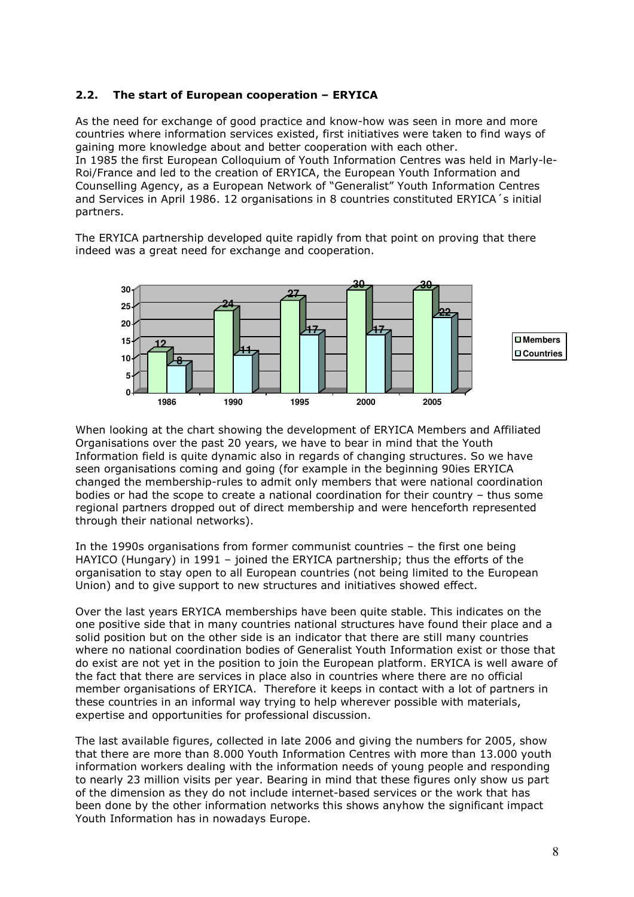#### 2.2. The start of European cooperation – ERYICA

As the need for exchange of good practice and know-how was seen in more and more countries where information services existed, first initiatives were taken to find ways of gaining more knowledge about and better cooperation with each other. In 1985 the first European Colloquium of Youth Information Centres was held in Marly-le-Roi/France and led to the creation of ERYICA, the European Youth Information and Counselling Agency, as a European Network of "Generalist" Youth Information Centres and Services in April 1986. 12 organisations in 8 countries constituted ERYICA´s initial partners.

The ERYICA partnership developed quite rapidly from that point on proving that there indeed was a great need for exchange and cooperation.



When looking at the chart showing the development of ERYICA Members and Affiliated Organisations over the past 20 years, we have to bear in mind that the Youth Information field is quite dynamic also in regards of changing structures. So we have seen organisations coming and going (for example in the beginning 90ies ERYICA changed the membership-rules to admit only members that were national coordination bodies or had the scope to create a national coordination for their country – thus some regional partners dropped out of direct membership and were henceforth represented through their national networks).

In the 1990s organisations from former communist countries – the first one being HAYICO (Hungary) in 1991 – joined the ERYICA partnership; thus the efforts of the organisation to stay open to all European countries (not being limited to the European Union) and to give support to new structures and initiatives showed effect.

Over the last years ERYICA memberships have been quite stable. This indicates on the one positive side that in many countries national structures have found their place and a solid position but on the other side is an indicator that there are still many countries where no national coordination bodies of Generalist Youth Information exist or those that do exist are not yet in the position to join the European platform. ERYICA is well aware of the fact that there are services in place also in countries where there are no official member organisations of ERYICA. Therefore it keeps in contact with a lot of partners in these countries in an informal way trying to help wherever possible with materials, expertise and opportunities for professional discussion.

The last available figures, collected in late 2006 and giving the numbers for 2005, show that there are more than 8.000 Youth Information Centres with more than 13.000 youth information workers dealing with the information needs of young people and responding to nearly 23 million visits per year. Bearing in mind that these figures only show us part of the dimension as they do not include internet-based services or the work that has been done by the other information networks this shows anyhow the significant impact Youth Information has in nowadays Europe.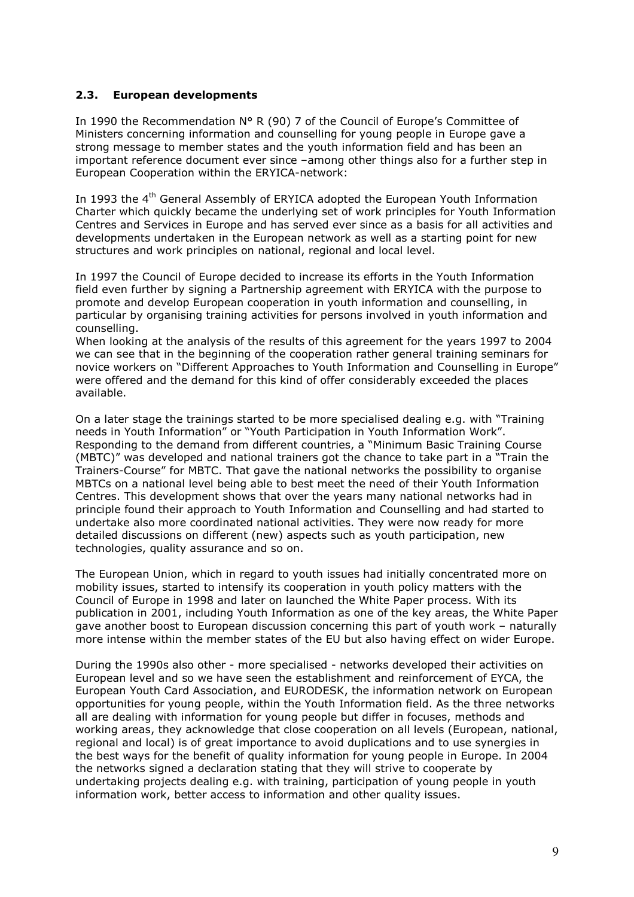#### 2.3. European developments

In 1990 the Recommendation N° R (90) 7 of the Council of Europe's Committee of Ministers concerning information and counselling for young people in Europe gave a strong message to member states and the youth information field and has been an important reference document ever since –among other things also for a further step in European Cooperation within the ERYICA-network:

In 1993 the 4<sup>th</sup> General Assembly of ERYICA adopted the European Youth Information Charter which quickly became the underlying set of work principles for Youth Information Centres and Services in Europe and has served ever since as a basis for all activities and developments undertaken in the European network as well as a starting point for new structures and work principles on national, regional and local level.

In 1997 the Council of Europe decided to increase its efforts in the Youth Information field even further by signing a Partnership agreement with ERYICA with the purpose to promote and develop European cooperation in youth information and counselling, in particular by organising training activities for persons involved in youth information and counselling.

When looking at the analysis of the results of this agreement for the years 1997 to 2004 we can see that in the beginning of the cooperation rather general training seminars for novice workers on "Different Approaches to Youth Information and Counselling in Europe" were offered and the demand for this kind of offer considerably exceeded the places available.

On a later stage the trainings started to be more specialised dealing e.g. with "Training needs in Youth Information" or "Youth Participation in Youth Information Work". Responding to the demand from different countries, a "Minimum Basic Training Course (MBTC)" was developed and national trainers got the chance to take part in a "Train the Trainers-Course" for MBTC. That gave the national networks the possibility to organise MBTCs on a national level being able to best meet the need of their Youth Information Centres. This development shows that over the years many national networks had in principle found their approach to Youth Information and Counselling and had started to undertake also more coordinated national activities. They were now ready for more detailed discussions on different (new) aspects such as youth participation, new technologies, quality assurance and so on.

The European Union, which in regard to youth issues had initially concentrated more on mobility issues, started to intensify its cooperation in youth policy matters with the Council of Europe in 1998 and later on launched the White Paper process. With its publication in 2001, including Youth Information as one of the key areas, the White Paper gave another boost to European discussion concerning this part of youth work – naturally more intense within the member states of the EU but also having effect on wider Europe.

During the 1990s also other - more specialised - networks developed their activities on European level and so we have seen the establishment and reinforcement of EYCA, the European Youth Card Association, and EURODESK, the information network on European opportunities for young people, within the Youth Information field. As the three networks all are dealing with information for young people but differ in focuses, methods and working areas, they acknowledge that close cooperation on all levels (European, national, regional and local) is of great importance to avoid duplications and to use synergies in the best ways for the benefit of quality information for young people in Europe. In 2004 the networks signed a declaration stating that they will strive to cooperate by undertaking projects dealing e.g. with training, participation of young people in youth information work, better access to information and other quality issues.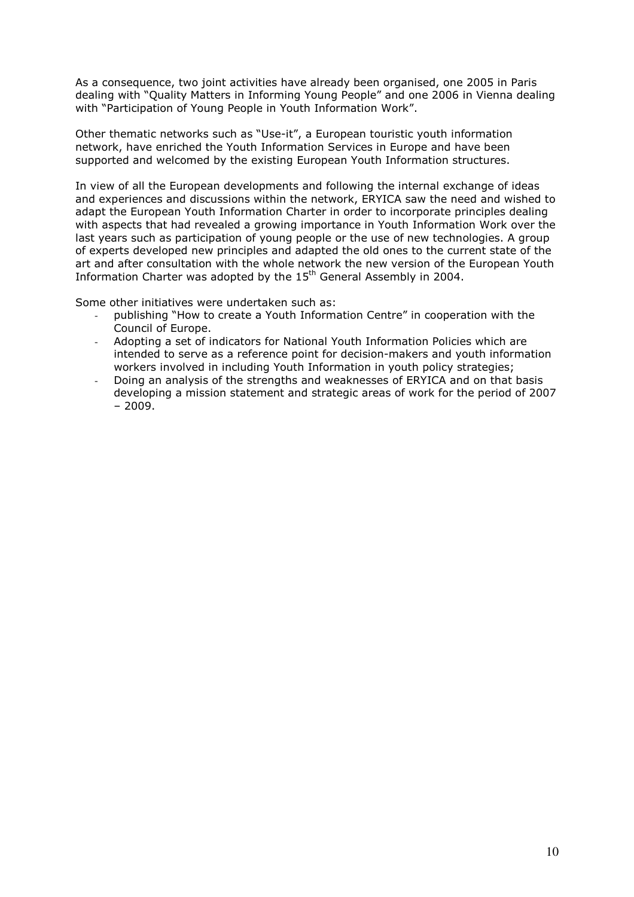As a consequence, two joint activities have already been organised, one 2005 in Paris dealing with "Quality Matters in Informing Young People" and one 2006 in Vienna dealing with "Participation of Young People in Youth Information Work".

Other thematic networks such as "Use-it", a European touristic youth information network, have enriched the Youth Information Services in Europe and have been supported and welcomed by the existing European Youth Information structures.

In view of all the European developments and following the internal exchange of ideas and experiences and discussions within the network, ERYICA saw the need and wished to adapt the European Youth Information Charter in order to incorporate principles dealing with aspects that had revealed a growing importance in Youth Information Work over the last years such as participation of young people or the use of new technologies. A group of experts developed new principles and adapted the old ones to the current state of the art and after consultation with the whole network the new version of the European Youth Information Charter was adopted by the 15<sup>th</sup> General Assembly in 2004.

Some other initiatives were undertaken such as:

- publishing "How to create a Youth Information Centre" in cooperation with the Council of Europe.
- Adopting a set of indicators for National Youth Information Policies which are intended to serve as a reference point for decision-makers and youth information workers involved in including Youth Information in youth policy strategies;
- Doing an analysis of the strengths and weaknesses of ERYICA and on that basis developing a mission statement and strategic areas of work for the period of 2007  $-2009.$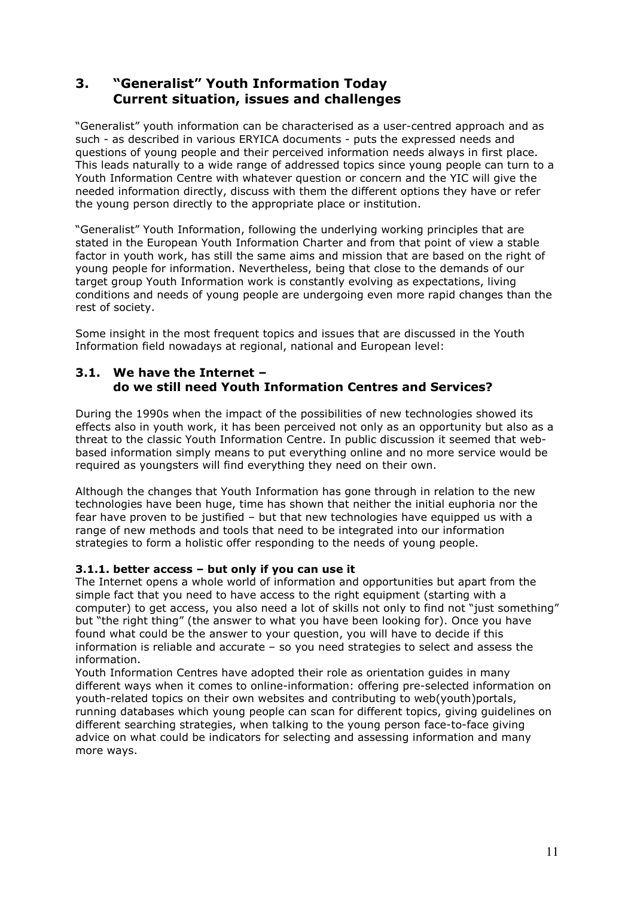# 3. "Generalist" Youth Information Today Current situation, issues and challenges

"Generalist" youth information can be characterised as a user-centred approach and as such - as described in various ERYICA documents - puts the expressed needs and questions of young people and their perceived information needs always in first place. This leads naturally to a wide range of addressed topics since young people can turn to a Youth Information Centre with whatever question or concern and the YIC will give the needed information directly, discuss with them the different options they have or refer the young person directly to the appropriate place or institution.

"Generalist" Youth Information, following the underlying working principles that are stated in the European Youth Information Charter and from that point of view a stable factor in youth work, has still the same aims and mission that are based on the right of young people for information. Nevertheless, being that close to the demands of our target group Youth Information work is constantly evolving as expectations, living conditions and needs of young people are undergoing even more rapid changes than the rest of society.

Some insight in the most frequent topics and issues that are discussed in the Youth Information field nowadays at regional, national and European level:

## 3.1. We have the Internet – do we still need Youth Information Centres and Services?

During the 1990s when the impact of the possibilities of new technologies showed its effects also in youth work, it has been perceived not only as an opportunity but also as a threat to the classic Youth Information Centre. In public discussion it seemed that webbased information simply means to put everything online and no more service would be required as youngsters will find everything they need on their own.

Although the changes that Youth Information has gone through in relation to the new technologies have been huge, time has shown that neither the initial euphoria nor the fear have proven to be justified – but that new technologies have equipped us with a range of new methods and tools that need to be integrated into our information strategies to form a holistic offer responding to the needs of young people.

## 3.1.1. better access – but only if you can use it

The Internet opens a whole world of information and opportunities but apart from the simple fact that you need to have access to the right equipment (starting with a computer) to get access, you also need a lot of skills not only to find not "just something" but "the right thing" (the answer to what you have been looking for). Once you have found what could be the answer to your question, you will have to decide if this information is reliable and accurate – so you need strategies to select and assess the information.

Youth Information Centres have adopted their role as orientation guides in many different ways when it comes to online-information: offering pre-selected information on youth-related topics on their own websites and contributing to web(youth)portals, running databases which young people can scan for different topics, giving guidelines on different searching strategies, when talking to the young person face-to-face giving advice on what could be indicators for selecting and assessing information and many more ways.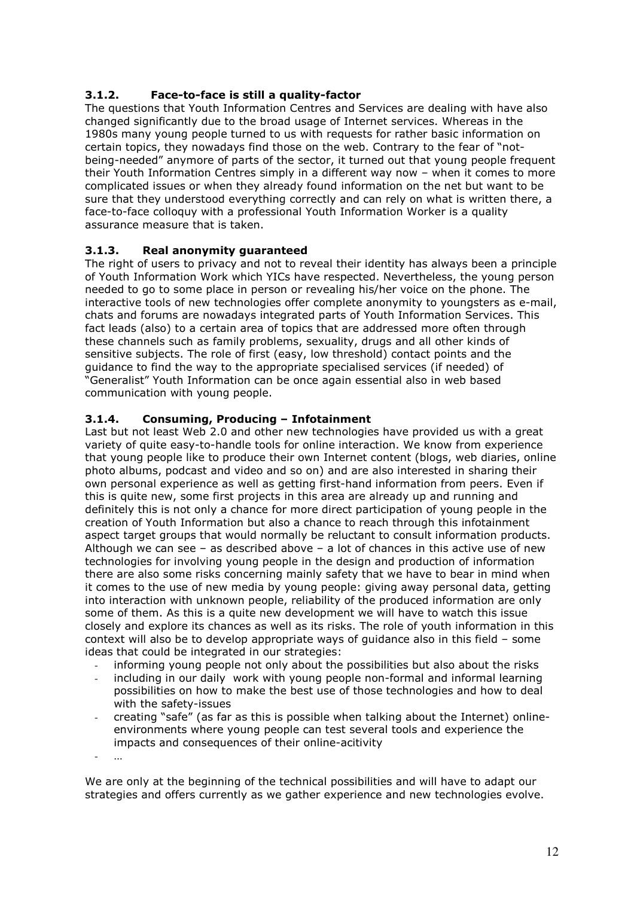## 3.1.2. Face-to-face is still a quality-factor

The questions that Youth Information Centres and Services are dealing with have also changed significantly due to the broad usage of Internet services. Whereas in the 1980s many young people turned to us with requests for rather basic information on certain topics, they nowadays find those on the web. Contrary to the fear of "notbeing-needed" anymore of parts of the sector, it turned out that young people frequent their Youth Information Centres simply in a different way now – when it comes to more complicated issues or when they already found information on the net but want to be sure that they understood everything correctly and can rely on what is written there, a face-to-face colloquy with a professional Youth Information Worker is a quality assurance measure that is taken.

## 3.1.3. Real anonymity guaranteed

The right of users to privacy and not to reveal their identity has always been a principle of Youth Information Work which YICs have respected. Nevertheless, the young person needed to go to some place in person or revealing his/her voice on the phone. The interactive tools of new technologies offer complete anonymity to youngsters as e-mail, chats and forums are nowadays integrated parts of Youth Information Services. This fact leads (also) to a certain area of topics that are addressed more often through these channels such as family problems, sexuality, drugs and all other kinds of sensitive subjects. The role of first (easy, low threshold) contact points and the guidance to find the way to the appropriate specialised services (if needed) of "Generalist" Youth Information can be once again essential also in web based communication with young people.

## 3.1.4. Consuming, Producing – Infotainment

Last but not least Web 2.0 and other new technologies have provided us with a great variety of quite easy-to-handle tools for online interaction. We know from experience that young people like to produce their own Internet content (blogs, web diaries, online photo albums, podcast and video and so on) and are also interested in sharing their own personal experience as well as getting first-hand information from peers. Even if this is quite new, some first projects in this area are already up and running and definitely this is not only a chance for more direct participation of young people in the creation of Youth Information but also a chance to reach through this infotainment aspect target groups that would normally be reluctant to consult information products. Although we can see – as described above – a lot of chances in this active use of new technologies for involving young people in the design and production of information there are also some risks concerning mainly safety that we have to bear in mind when it comes to the use of new media by young people: giving away personal data, getting into interaction with unknown people, reliability of the produced information are only some of them. As this is a quite new development we will have to watch this issue closely and explore its chances as well as its risks. The role of youth information in this context will also be to develop appropriate ways of guidance also in this field – some ideas that could be integrated in our strategies:

- informing young people not only about the possibilities but also about the risks
- including in our daily work with young people non-formal and informal learning possibilities on how to make the best use of those technologies and how to deal with the safety-issues
- creating "safe" (as far as this is possible when talking about the Internet) onlineenvironments where young people can test several tools and experience the impacts and consequences of their online-acitivity

- …

We are only at the beginning of the technical possibilities and will have to adapt our strategies and offers currently as we gather experience and new technologies evolve.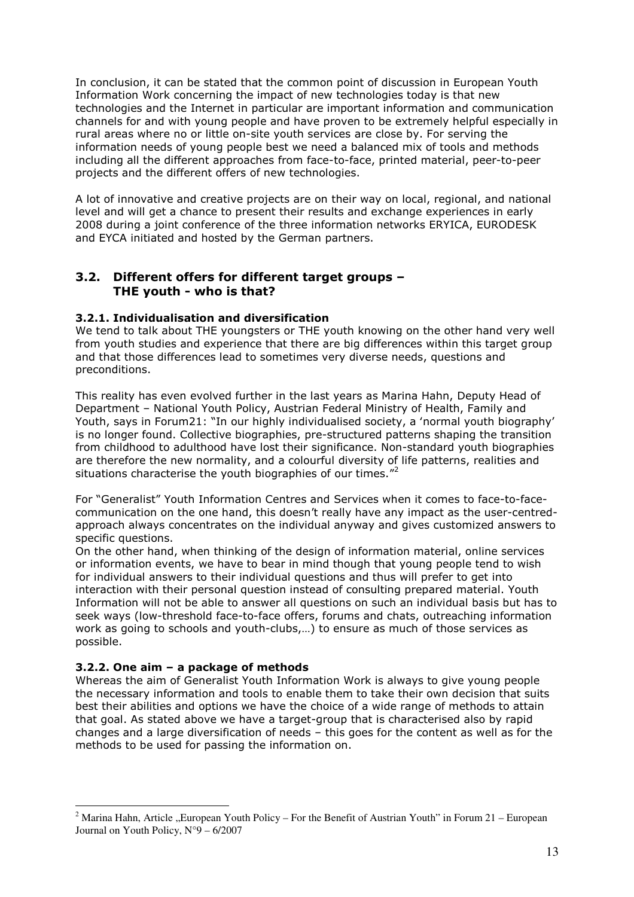In conclusion, it can be stated that the common point of discussion in European Youth Information Work concerning the impact of new technologies today is that new technologies and the Internet in particular are important information and communication channels for and with young people and have proven to be extremely helpful especially in rural areas where no or little on-site youth services are close by. For serving the information needs of young people best we need a balanced mix of tools and methods including all the different approaches from face-to-face, printed material, peer-to-peer projects and the different offers of new technologies.

A lot of innovative and creative projects are on their way on local, regional, and national level and will get a chance to present their results and exchange experiences in early 2008 during a joint conference of the three information networks ERYICA, EURODESK and EYCA initiated and hosted by the German partners.

## 3.2. Different offers for different target groups – THE youth - who is that?

#### 3.2.1. Individualisation and diversification

We tend to talk about THE youngsters or THE youth knowing on the other hand very well from youth studies and experience that there are big differences within this target group and that those differences lead to sometimes very diverse needs, questions and preconditions.

This reality has even evolved further in the last years as Marina Hahn, Deputy Head of Department – National Youth Policy, Austrian Federal Ministry of Health, Family and Youth, says in Forum21: "In our highly individualised society, a 'normal youth biography' is no longer found. Collective biographies, pre-structured patterns shaping the transition from childhood to adulthood have lost their significance. Non-standard youth biographies are therefore the new normality, and a colourful diversity of life patterns, realities and situations characterise the youth biographies of our times."<sup>2</sup>

For "Generalist" Youth Information Centres and Services when it comes to face-to-facecommunication on the one hand, this doesn't really have any impact as the user-centredapproach always concentrates on the individual anyway and gives customized answers to specific questions.

On the other hand, when thinking of the design of information material, online services or information events, we have to bear in mind though that young people tend to wish for individual answers to their individual questions and thus will prefer to get into interaction with their personal question instead of consulting prepared material. Youth Information will not be able to answer all questions on such an individual basis but has to seek ways (low-threshold face-to-face offers, forums and chats, outreaching information work as going to schools and youth-clubs,…) to ensure as much of those services as possible.

#### 3.2.2. One aim – a package of methods

 $\overline{a}$ 

Whereas the aim of Generalist Youth Information Work is always to give young people the necessary information and tools to enable them to take their own decision that suits best their abilities and options we have the choice of a wide range of methods to attain that goal. As stated above we have a target-group that is characterised also by rapid changes and a large diversification of needs – this goes for the content as well as for the methods to be used for passing the information on.

<sup>&</sup>lt;sup>2</sup> Marina Hahn, Article "European Youth Policy – For the Benefit of Austrian Youth" in Forum 21 – European Journal on Youth Policy, N°9 – 6/2007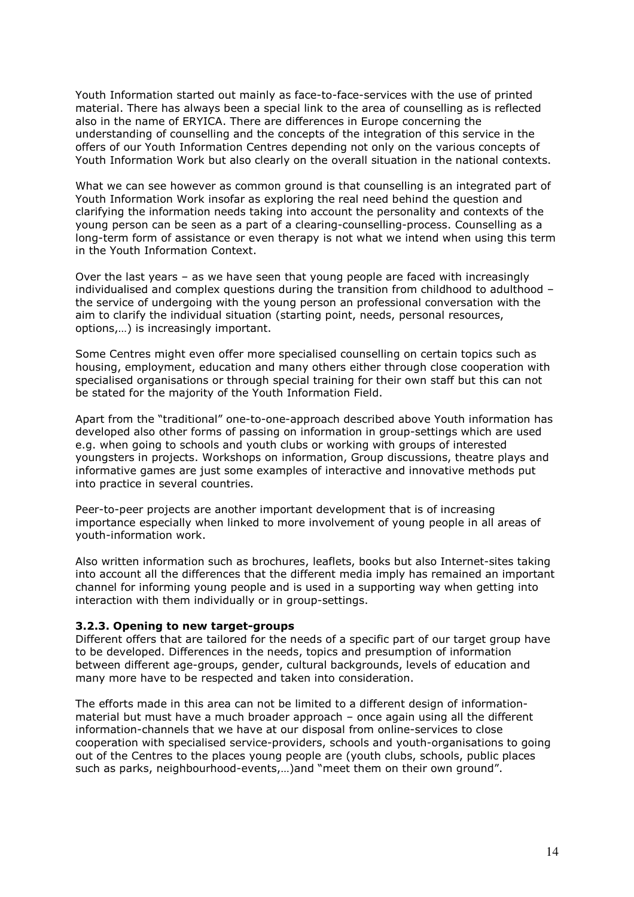Youth Information started out mainly as face-to-face-services with the use of printed material. There has always been a special link to the area of counselling as is reflected also in the name of ERYICA. There are differences in Europe concerning the understanding of counselling and the concepts of the integration of this service in the offers of our Youth Information Centres depending not only on the various concepts of Youth Information Work but also clearly on the overall situation in the national contexts.

What we can see however as common ground is that counselling is an integrated part of Youth Information Work insofar as exploring the real need behind the question and clarifying the information needs taking into account the personality and contexts of the young person can be seen as a part of a clearing-counselling-process. Counselling as a long-term form of assistance or even therapy is not what we intend when using this term in the Youth Information Context.

Over the last years – as we have seen that young people are faced with increasingly individualised and complex questions during the transition from childhood to adulthood – the service of undergoing with the young person an professional conversation with the aim to clarify the individual situation (starting point, needs, personal resources, options,…) is increasingly important.

Some Centres might even offer more specialised counselling on certain topics such as housing, employment, education and many others either through close cooperation with specialised organisations or through special training for their own staff but this can not be stated for the majority of the Youth Information Field.

Apart from the "traditional" one-to-one-approach described above Youth information has developed also other forms of passing on information in group-settings which are used e.g. when going to schools and youth clubs or working with groups of interested youngsters in projects. Workshops on information, Group discussions, theatre plays and informative games are just some examples of interactive and innovative methods put into practice in several countries.

Peer-to-peer projects are another important development that is of increasing importance especially when linked to more involvement of young people in all areas of youth-information work.

Also written information such as brochures, leaflets, books but also Internet-sites taking into account all the differences that the different media imply has remained an important channel for informing young people and is used in a supporting way when getting into interaction with them individually or in group-settings.

#### 3.2.3. Opening to new target-groups

Different offers that are tailored for the needs of a specific part of our target group have to be developed. Differences in the needs, topics and presumption of information between different age-groups, gender, cultural backgrounds, levels of education and many more have to be respected and taken into consideration.

The efforts made in this area can not be limited to a different design of informationmaterial but must have a much broader approach – once again using all the different information-channels that we have at our disposal from online-services to close cooperation with specialised service-providers, schools and youth-organisations to going out of the Centres to the places young people are (youth clubs, schools, public places such as parks, neighbourhood-events,…)and "meet them on their own ground".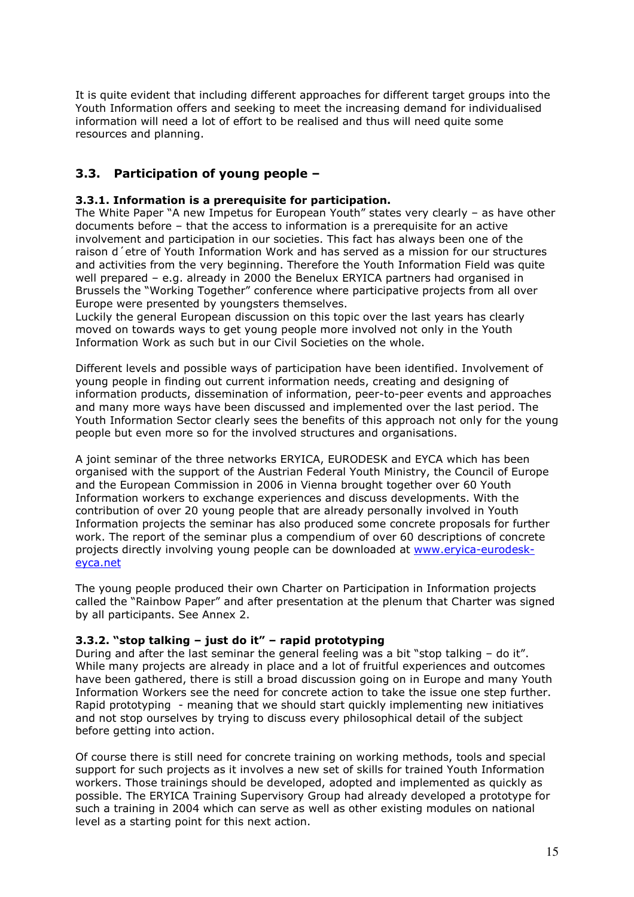It is quite evident that including different approaches for different target groups into the Youth Information offers and seeking to meet the increasing demand for individualised information will need a lot of effort to be realised and thus will need quite some resources and planning.

# 3.3. Participation of young people –

#### 3.3.1. Information is a prerequisite for participation.

The White Paper "A new Impetus for European Youth" states very clearly – as have other documents before – that the access to information is a prerequisite for an active involvement and participation in our societies. This fact has always been one of the raison d´etre of Youth Information Work and has served as a mission for our structures and activities from the very beginning. Therefore the Youth Information Field was quite well prepared – e.g. already in 2000 the Benelux ERYICA partners had organised in Brussels the "Working Together" conference where participative projects from all over Europe were presented by youngsters themselves.

Luckily the general European discussion on this topic over the last years has clearly moved on towards ways to get young people more involved not only in the Youth Information Work as such but in our Civil Societies on the whole.

Different levels and possible ways of participation have been identified. Involvement of young people in finding out current information needs, creating and designing of information products, dissemination of information, peer-to-peer events and approaches and many more ways have been discussed and implemented over the last period. The Youth Information Sector clearly sees the benefits of this approach not only for the young people but even more so for the involved structures and organisations.

A joint seminar of the three networks ERYICA, EURODESK and EYCA which has been organised with the support of the Austrian Federal Youth Ministry, the Council of Europe and the European Commission in 2006 in Vienna brought together over 60 Youth Information workers to exchange experiences and discuss developments. With the contribution of over 20 young people that are already personally involved in Youth Information projects the seminar has also produced some concrete proposals for further work. The report of the seminar plus a compendium of over 60 descriptions of concrete projects directly involving young people can be downloaded at www.eryica-eurodeskeyca.net

The young people produced their own Charter on Participation in Information projects called the "Rainbow Paper" and after presentation at the plenum that Charter was signed by all participants. See Annex 2.

#### 3.3.2. "stop talking – just do it" – rapid prototyping

During and after the last seminar the general feeling was a bit "stop talking  $-$  do it". While many projects are already in place and a lot of fruitful experiences and outcomes have been gathered, there is still a broad discussion going on in Europe and many Youth Information Workers see the need for concrete action to take the issue one step further. Rapid prototyping - meaning that we should start quickly implementing new initiatives and not stop ourselves by trying to discuss every philosophical detail of the subject before getting into action.

Of course there is still need for concrete training on working methods, tools and special support for such projects as it involves a new set of skills for trained Youth Information workers. Those trainings should be developed, adopted and implemented as quickly as possible. The ERYICA Training Supervisory Group had already developed a prototype for such a training in 2004 which can serve as well as other existing modules on national level as a starting point for this next action.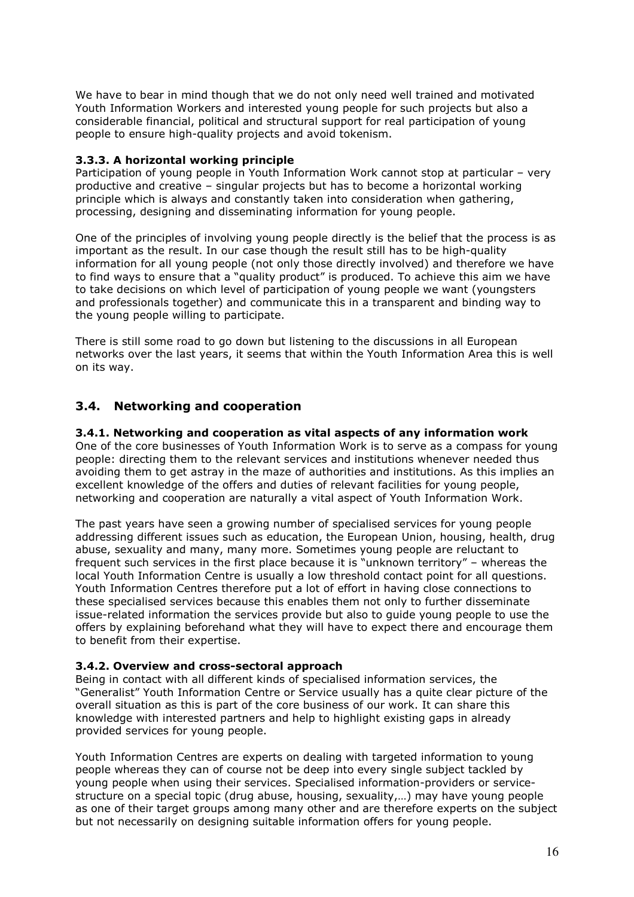We have to bear in mind though that we do not only need well trained and motivated Youth Information Workers and interested young people for such projects but also a considerable financial, political and structural support for real participation of young people to ensure high-quality projects and avoid tokenism.

#### 3.3.3. A horizontal working principle

Participation of young people in Youth Information Work cannot stop at particular – very productive and creative – singular projects but has to become a horizontal working principle which is always and constantly taken into consideration when gathering, processing, designing and disseminating information for young people.

One of the principles of involving young people directly is the belief that the process is as important as the result. In our case though the result still has to be high-quality information for all young people (not only those directly involved) and therefore we have to find ways to ensure that a "quality product" is produced. To achieve this aim we have to take decisions on which level of participation of young people we want (youngsters and professionals together) and communicate this in a transparent and binding way to the young people willing to participate.

There is still some road to go down but listening to the discussions in all European networks over the last years, it seems that within the Youth Information Area this is well on its way.

### 3.4. Networking and cooperation

#### 3.4.1. Networking and cooperation as vital aspects of any information work

One of the core businesses of Youth Information Work is to serve as a compass for young people: directing them to the relevant services and institutions whenever needed thus avoiding them to get astray in the maze of authorities and institutions. As this implies an excellent knowledge of the offers and duties of relevant facilities for young people, networking and cooperation are naturally a vital aspect of Youth Information Work.

The past years have seen a growing number of specialised services for young people addressing different issues such as education, the European Union, housing, health, drug abuse, sexuality and many, many more. Sometimes young people are reluctant to frequent such services in the first place because it is "unknown territory" – whereas the local Youth Information Centre is usually a low threshold contact point for all questions. Youth Information Centres therefore put a lot of effort in having close connections to these specialised services because this enables them not only to further disseminate issue-related information the services provide but also to guide young people to use the offers by explaining beforehand what they will have to expect there and encourage them to benefit from their expertise.

#### 3.4.2. Overview and cross-sectoral approach

Being in contact with all different kinds of specialised information services, the "Generalist" Youth Information Centre or Service usually has a quite clear picture of the overall situation as this is part of the core business of our work. It can share this knowledge with interested partners and help to highlight existing gaps in already provided services for young people.

Youth Information Centres are experts on dealing with targeted information to young people whereas they can of course not be deep into every single subject tackled by young people when using their services. Specialised information-providers or servicestructure on a special topic (drug abuse, housing, sexuality,…) may have young people as one of their target groups among many other and are therefore experts on the subject but not necessarily on designing suitable information offers for young people.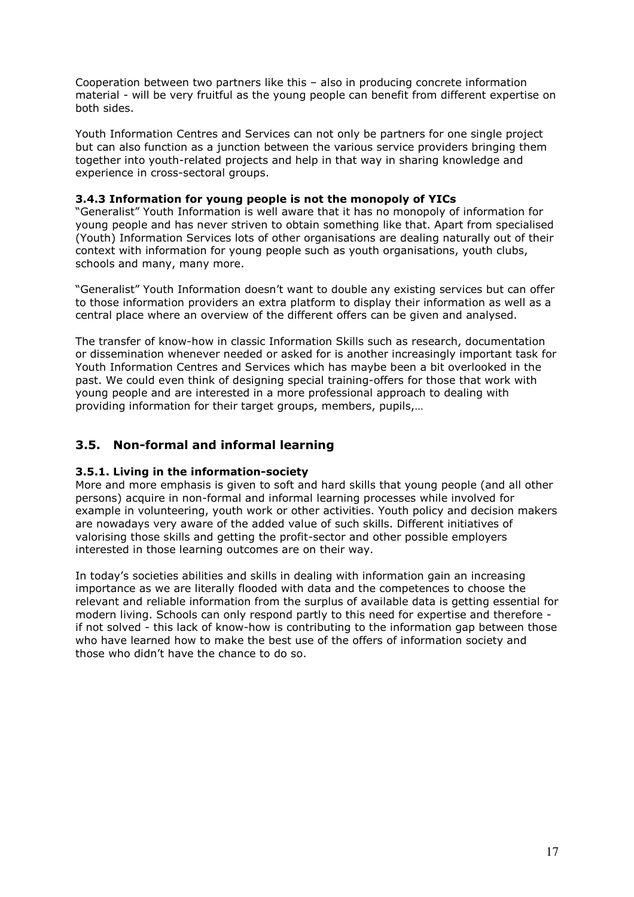Cooperation between two partners like this – also in producing concrete information material - will be very fruitful as the young people can benefit from different expertise on both sides.

Youth Information Centres and Services can not only be partners for one single project but can also function as a junction between the various service providers bringing them together into youth-related projects and help in that way in sharing knowledge and experience in cross-sectoral groups.

#### 3.4.3 Information for young people is not the monopoly of YICs

"Generalist" Youth Information is well aware that it has no monopoly of information for young people and has never striven to obtain something like that. Apart from specialised (Youth) Information Services lots of other organisations are dealing naturally out of their context with information for young people such as youth organisations, youth clubs, schools and many, many more.

"Generalist" Youth Information doesn't want to double any existing services but can offer to those information providers an extra platform to display their information as well as a central place where an overview of the different offers can be given and analysed.

The transfer of know-how in classic Information Skills such as research, documentation or dissemination whenever needed or asked for is another increasingly important task for Youth Information Centres and Services which has maybe been a bit overlooked in the past. We could even think of designing special training-offers for those that work with young people and are interested in a more professional approach to dealing with providing information for their target groups, members, pupils,…

## 3.5. Non-formal and informal learning

#### 3.5.1. Living in the information-society

More and more emphasis is given to soft and hard skills that young people (and all other persons) acquire in non-formal and informal learning processes while involved for example in volunteering, youth work or other activities. Youth policy and decision makers are nowadays very aware of the added value of such skills. Different initiatives of valorising those skills and getting the profit-sector and other possible employers interested in those learning outcomes are on their way.

In today's societies abilities and skills in dealing with information gain an increasing importance as we are literally flooded with data and the competences to choose the relevant and reliable information from the surplus of available data is getting essential for modern living. Schools can only respond partly to this need for expertise and therefore if not solved - this lack of know-how is contributing to the information gap between those who have learned how to make the best use of the offers of information society and those who didn't have the chance to do so.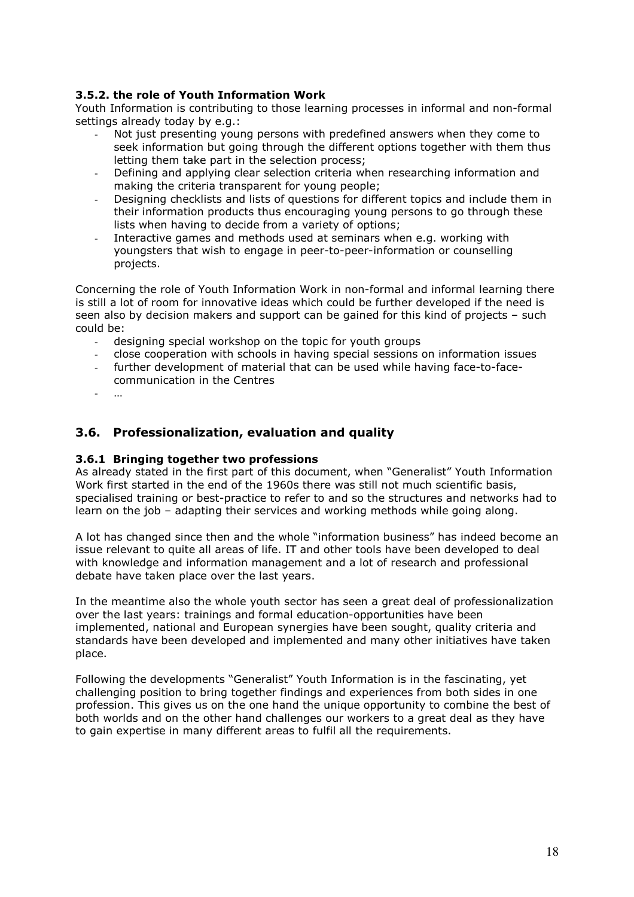### 3.5.2. the role of Youth Information Work

Youth Information is contributing to those learning processes in informal and non-formal settings already today by e.g.:

- Not just presenting young persons with predefined answers when they come to seek information but going through the different options together with them thus letting them take part in the selection process;
- Defining and applying clear selection criteria when researching information and making the criteria transparent for young people;
- Designing checklists and lists of questions for different topics and include them in their information products thus encouraging young persons to go through these lists when having to decide from a variety of options;
- Interactive games and methods used at seminars when e.g. working with youngsters that wish to engage in peer-to-peer-information or counselling projects.

Concerning the role of Youth Information Work in non-formal and informal learning there is still a lot of room for innovative ideas which could be further developed if the need is seen also by decision makers and support can be gained for this kind of projects – such could be:

- designing special workshop on the topic for youth groups
- close cooperation with schools in having special sessions on information issues
- further development of material that can be used while having face-to-facecommunication in the Centres
- …

## 3.6. Professionalization, evaluation and quality

#### 3.6.1 Bringing together two professions

As already stated in the first part of this document, when "Generalist" Youth Information Work first started in the end of the 1960s there was still not much scientific basis, specialised training or best-practice to refer to and so the structures and networks had to learn on the job – adapting their services and working methods while going along.

A lot has changed since then and the whole "information business" has indeed become an issue relevant to quite all areas of life. IT and other tools have been developed to deal with knowledge and information management and a lot of research and professional debate have taken place over the last years.

In the meantime also the whole youth sector has seen a great deal of professionalization over the last years: trainings and formal education-opportunities have been implemented, national and European synergies have been sought, quality criteria and standards have been developed and implemented and many other initiatives have taken place.

Following the developments "Generalist" Youth Information is in the fascinating, yet challenging position to bring together findings and experiences from both sides in one profession. This gives us on the one hand the unique opportunity to combine the best of both worlds and on the other hand challenges our workers to a great deal as they have to gain expertise in many different areas to fulfil all the requirements.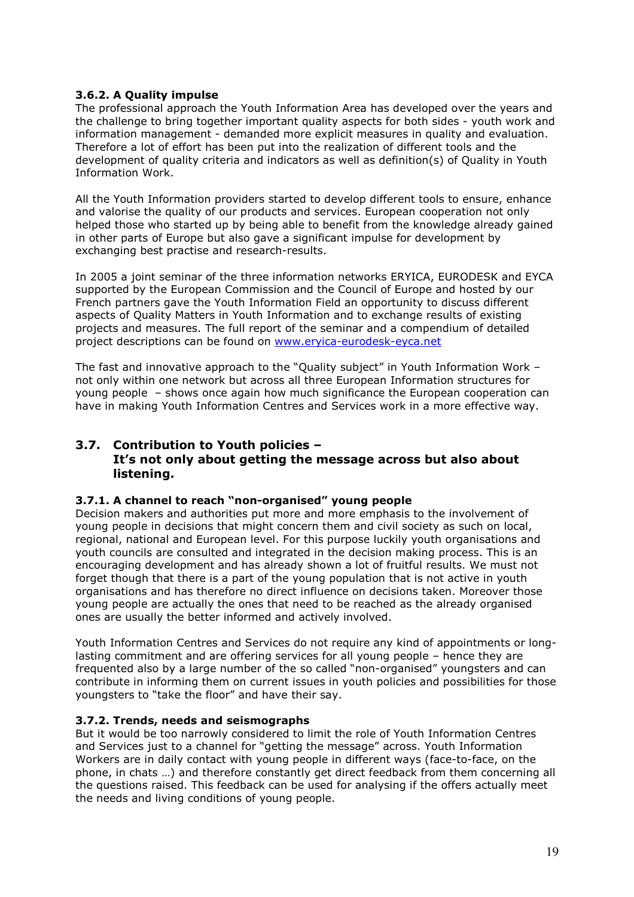### 3.6.2. A Quality impulse

The professional approach the Youth Information Area has developed over the years and the challenge to bring together important quality aspects for both sides - youth work and information management - demanded more explicit measures in quality and evaluation. Therefore a lot of effort has been put into the realization of different tools and the development of quality criteria and indicators as well as definition(s) of Quality in Youth Information Work.

All the Youth Information providers started to develop different tools to ensure, enhance and valorise the quality of our products and services. European cooperation not only helped those who started up by being able to benefit from the knowledge already gained in other parts of Europe but also gave a significant impulse for development by exchanging best practise and research-results.

In 2005 a joint seminar of the three information networks ERYICA, EURODESK and EYCA supported by the European Commission and the Council of Europe and hosted by our French partners gave the Youth Information Field an opportunity to discuss different aspects of Quality Matters in Youth Information and to exchange results of existing projects and measures. The full report of the seminar and a compendium of detailed project descriptions can be found on www.eryica-eurodesk-eyca.net

The fast and innovative approach to the "Quality subject" in Youth Information Work – not only within one network but across all three European Information structures for young people – shows once again how much significance the European cooperation can have in making Youth Information Centres and Services work in a more effective way.

### 3.7. Contribution to Youth policies – It's not only about getting the message across but also about listening.

#### 3.7.1. A channel to reach "non-organised" young people

Decision makers and authorities put more and more emphasis to the involvement of young people in decisions that might concern them and civil society as such on local, regional, national and European level. For this purpose luckily youth organisations and youth councils are consulted and integrated in the decision making process. This is an encouraging development and has already shown a lot of fruitful results. We must not forget though that there is a part of the young population that is not active in youth organisations and has therefore no direct influence on decisions taken. Moreover those young people are actually the ones that need to be reached as the already organised ones are usually the better informed and actively involved.

Youth Information Centres and Services do not require any kind of appointments or longlasting commitment and are offering services for all young people – hence they are frequented also by a large number of the so called "non-organised" youngsters and can contribute in informing them on current issues in youth policies and possibilities for those youngsters to "take the floor" and have their say.

#### 3.7.2. Trends, needs and seismographs

But it would be too narrowly considered to limit the role of Youth Information Centres and Services just to a channel for "getting the message" across. Youth Information Workers are in daily contact with young people in different ways (face-to-face, on the phone, in chats …) and therefore constantly get direct feedback from them concerning all the questions raised. This feedback can be used for analysing if the offers actually meet the needs and living conditions of young people.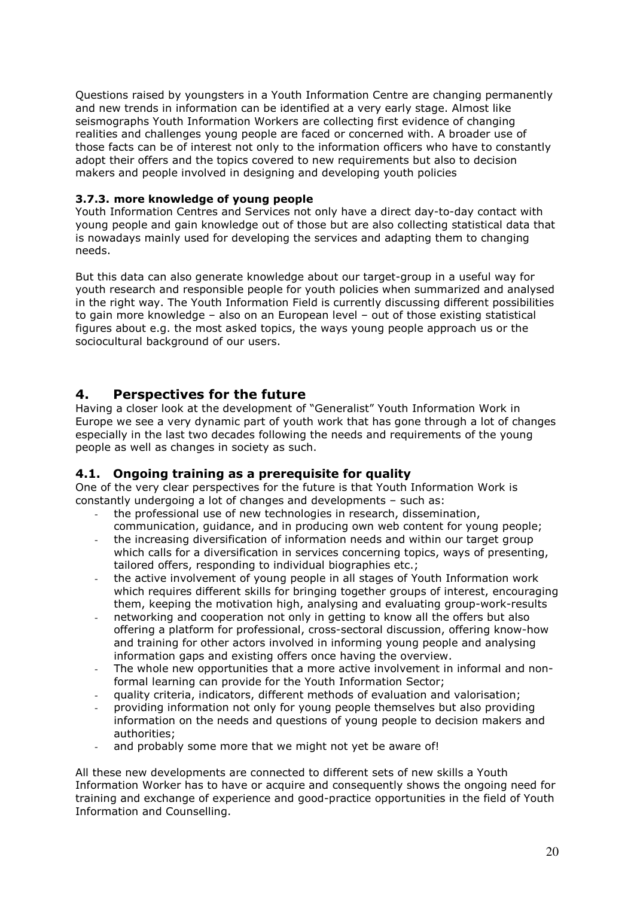Questions raised by youngsters in a Youth Information Centre are changing permanently and new trends in information can be identified at a very early stage. Almost like seismographs Youth Information Workers are collecting first evidence of changing realities and challenges young people are faced or concerned with. A broader use of those facts can be of interest not only to the information officers who have to constantly adopt their offers and the topics covered to new requirements but also to decision makers and people involved in designing and developing youth policies

#### 3.7.3. more knowledge of young people

Youth Information Centres and Services not only have a direct day-to-day contact with young people and gain knowledge out of those but are also collecting statistical data that is nowadays mainly used for developing the services and adapting them to changing needs.

But this data can also generate knowledge about our target-group in a useful way for youth research and responsible people for youth policies when summarized and analysed in the right way. The Youth Information Field is currently discussing different possibilities to gain more knowledge – also on an European level – out of those existing statistical figures about e.g. the most asked topics, the ways young people approach us or the sociocultural background of our users.

# 4. Perspectives for the future

Having a closer look at the development of "Generalist" Youth Information Work in Europe we see a very dynamic part of youth work that has gone through a lot of changes especially in the last two decades following the needs and requirements of the young people as well as changes in society as such.

## 4.1. Ongoing training as a prerequisite for quality

One of the very clear perspectives for the future is that Youth Information Work is constantly undergoing a lot of changes and developments – such as:

- the professional use of new technologies in research, dissemination, communication, guidance, and in producing own web content for young people;
- the increasing diversification of information needs and within our target group which calls for a diversification in services concerning topics, ways of presenting, tailored offers, responding to individual biographies etc.;
- the active involvement of young people in all stages of Youth Information work which requires different skills for bringing together groups of interest, encouraging them, keeping the motivation high, analysing and evaluating group-work-results
- networking and cooperation not only in getting to know all the offers but also offering a platform for professional, cross-sectoral discussion, offering know-how and training for other actors involved in informing young people and analysing information gaps and existing offers once having the overview.
- The whole new opportunities that a more active involvement in informal and nonformal learning can provide for the Youth Information Sector;
- quality criteria, indicators, different methods of evaluation and valorisation;
- providing information not only for young people themselves but also providing information on the needs and questions of young people to decision makers and authorities;
- and probably some more that we might not yet be aware of!

All these new developments are connected to different sets of new skills a Youth Information Worker has to have or acquire and consequently shows the ongoing need for training and exchange of experience and good-practice opportunities in the field of Youth Information and Counselling.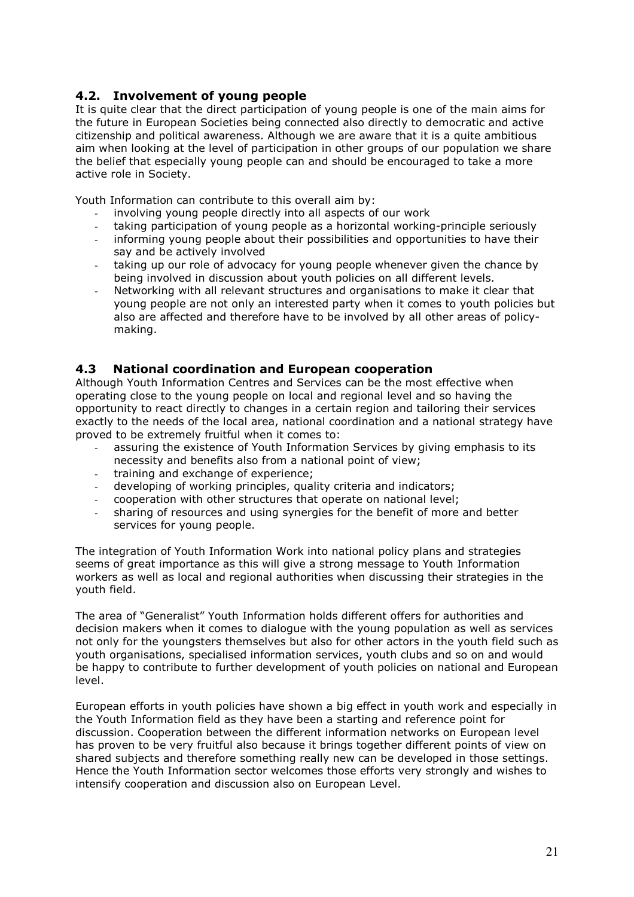## 4.2. Involvement of young people

It is quite clear that the direct participation of young people is one of the main aims for the future in European Societies being connected also directly to democratic and active citizenship and political awareness. Although we are aware that it is a quite ambitious aim when looking at the level of participation in other groups of our population we share the belief that especially young people can and should be encouraged to take a more active role in Society.

Youth Information can contribute to this overall aim by:

- involving young people directly into all aspects of our work
- taking participation of young people as a horizontal working-principle seriously
- informing young people about their possibilities and opportunities to have their say and be actively involved
- taking up our role of advocacy for young people whenever given the chance by being involved in discussion about youth policies on all different levels.
- Networking with all relevant structures and organisations to make it clear that young people are not only an interested party when it comes to youth policies but also are affected and therefore have to be involved by all other areas of policymaking.

### 4.3 National coordination and European cooperation

Although Youth Information Centres and Services can be the most effective when operating close to the young people on local and regional level and so having the opportunity to react directly to changes in a certain region and tailoring their services exactly to the needs of the local area, national coordination and a national strategy have proved to be extremely fruitful when it comes to:

- assuring the existence of Youth Information Services by giving emphasis to its necessity and benefits also from a national point of view;
- training and exchange of experience;
- developing of working principles, quality criteria and indicators;
- cooperation with other structures that operate on national level;
- sharing of resources and using synergies for the benefit of more and better services for young people.

The integration of Youth Information Work into national policy plans and strategies seems of great importance as this will give a strong message to Youth Information workers as well as local and regional authorities when discussing their strategies in the youth field.

The area of "Generalist" Youth Information holds different offers for authorities and decision makers when it comes to dialogue with the young population as well as services not only for the youngsters themselves but also for other actors in the youth field such as youth organisations, specialised information services, youth clubs and so on and would be happy to contribute to further development of youth policies on national and European level.

European efforts in youth policies have shown a big effect in youth work and especially in the Youth Information field as they have been a starting and reference point for discussion. Cooperation between the different information networks on European level has proven to be very fruitful also because it brings together different points of view on shared subjects and therefore something really new can be developed in those settings. Hence the Youth Information sector welcomes those efforts very strongly and wishes to intensify cooperation and discussion also on European Level.